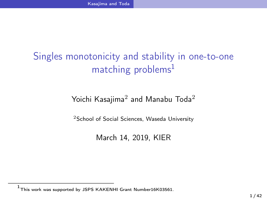Kasajima and Toda

# Singles monotonicity and stability in one-to-one matching problems<sup>1</sup>

Yoichi Kasajima $^2$  and Manabu Toda $^2$ 

<sup>2</sup>School of Social Sciences, Waseda University

March 14, 2019, KIER

 $^{\rm 1}$ This work was supported by JSPS KAKENHI Grant Number16K03561.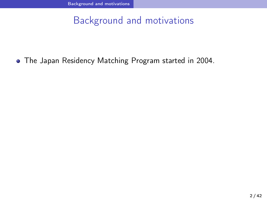Background and motivations

The Japan Residency Matching Program started in 2004.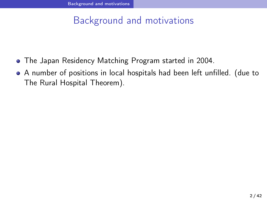# Background and motivations

- The Japan Residency Matching Program started in 2004.
- A number of positions in local hospitals had been left unfilled. (due to The Rural Hospital Theorem).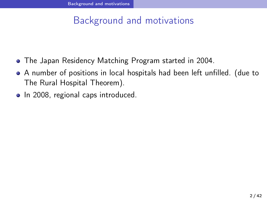# Background and motivations

- The Japan Residency Matching Program started in 2004.
- A number of positions in local hospitals had been left unfilled. (due to The Rural Hospital Theorem).
- In 2008, regional caps introduced.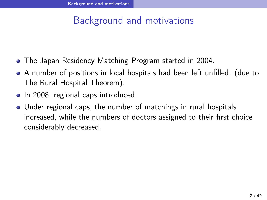# Background and motivations

- The Japan Residency Matching Program started in 2004.
- A number of positions in local hospitals had been left unfilled. (due to The Rural Hospital Theorem).
- In 2008, regional caps introduced.
- Under regional caps, the number of matchings in rural hospitals increased, while the numbers of doctors assigned to their first choice considerably decreased.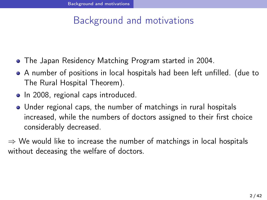# Background and motivations

- The Japan Residency Matching Program started in 2004.
- A number of positions in local hospitals had been left unfilled. (due to The Rural Hospital Theorem).
- In 2008, regional caps introduced.
- Under regional caps, the number of matchings in rural hospitals increased, while the numbers of doctors assigned to their first choice considerably decreased.

*⇒* We would like to increase the number of matchings in local hospitals without deceasing the welfare of doctors.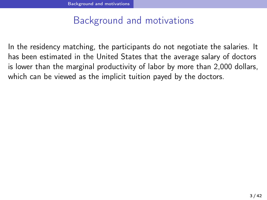# Background and motivations

In the residency matching, the participants do not negotiate the salaries. It has been estimated in the United States that the average salary of doctors is lower than the marginal productivity of labor by more than 2,000 dollars, which can be viewed as the implicit tuition payed by the doctors.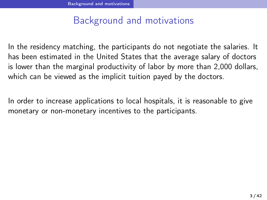# Background and motivations

In the residency matching, the participants do not negotiate the salaries. It has been estimated in the United States that the average salary of doctors is lower than the marginal productivity of labor by more than 2,000 dollars, which can be viewed as the implicit tuition payed by the doctors.

In order to increase applications to local hospitals, it is reasonable to give monetary or non-monetary incentives to the participants.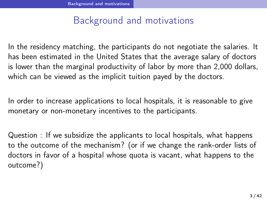## Background and motivations

In the residency matching, the participants do not negotiate the salaries. It has been estimated in the United States that the average salary of doctors is lower than the marginal productivity of labor by more than 2,000 dollars, which can be viewed as the implicit tuition payed by the doctors.

In order to increase applications to local hospitals, it is reasonable to give monetary or non-monetary incentives to the participants.

Question : If we subsidize the applicants to local hospitals, what happens to the outcome of the mechanism? (or if we change the rank-order lists of doctors in favor of a hospital whose quota is vacant, what happens to the outcome?)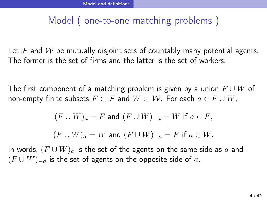# Model ( one-to-one matching problems )

Let  $F$  and  $W$  be mutually disjoint sets of countably many potential agents. The former is the set of firms and the latter is the set of workers.

The first component of a matching problem is given by a union *F ∪ W* of non-empty finite subsets  $F \subset \mathcal{F}$  and  $W \subset \mathcal{W}$ . For each  $a \in F \cup W$ ,

$$
(F \cup W)_a = F \text{ and } (F \cup W)_{-a} = W \text{ if } a \in F,
$$

$$
(F \cup W)_a = W
$$
 and  $(F \cup W)_{-a} = F$  if  $a \in W$ .

In words, (*F ∪ W*)*<sup>a</sup>* is the set of the agents on the same side as *a* and (*F ∪ W*)*−<sup>a</sup>* is the set of agents on the opposite side of *a*.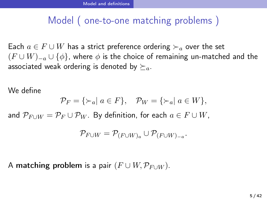# Model ( one-to-one matching problems )

Each  $a \in F \cup W$  has a strict preference ordering  $\succ_a$  over the set  $(F \cup W)_{-a} \cup {\phi}$ , where  $\phi$  is the choice of remaining un-matched and the associated weak ordering is denoted by  $\succeq_a$ .

We define

 $\mathcal{P}_F = \{\succ_a | a \in F\}$ ,  $\mathcal{P}_W = \{\succ_a | a \in W\}$ ,

and  $\mathcal{P}_{F \cup W} = \mathcal{P}_F \cup \mathcal{P}_W$ . By definition, for each  $a \in F \cup W$ ,

$$
\mathcal{P}_{F \cup W} = \mathcal{P}_{(F \cup W)_a} \cup \mathcal{P}_{(F \cup W)_{-a}}.
$$

A matching problem is a pair  $(F \cup W, \mathcal{P}_{F \cup W})$ .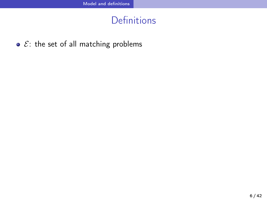Definitions

•  $E$ : the set of all matching problems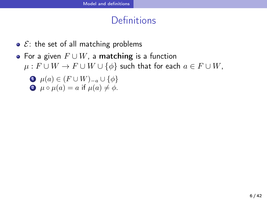## **Definitions**

- $\bullet$   $\mathcal{E}$ : the set of all matching problems
- For a given *F ∪ W*, a matching is a function  $\mu: F \cup W \rightarrow F \cup W \cup \{\phi\}$  such that for each  $a \in F \cup W$ ,
	- $\mathbf{D}$   $\mu(a) \in (F \cup W)_{-a} \cup \{\phi\}$
	- 2  $\mu \circ \mu(a) = a$  if  $\mu(a) \neq \phi$ .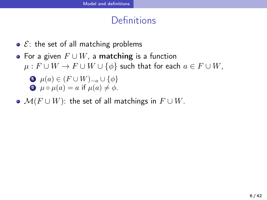## Definitions

- $\bullet$   $\mathcal{E}$ : the set of all matching problems
- For a given *F ∪ W*, a matching is a function *µ* :  $F \cup W \rightarrow F \cup W \cup \{\phi\}$  such that for each  $a \in F \cup W$ ,
	- $\mathbf{D}$   $\mu(a) \in (F \cup W)_{-a} \cup \{\phi\}$ 2  $\mu \circ \mu(a) = a$  if  $\mu(a) \neq \phi$ .
- $\mathcal{M}(F \cup W)$ : the set of all matchings in  $F \cup W$ .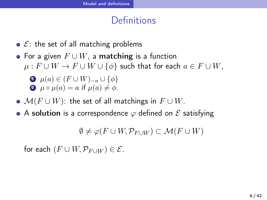## **Definitions**

- $E$ : the set of all matching problems
- For a given *F ∪ W*, a matching is a function *µ* :  $F \cup W \rightarrow F \cup W \cup \{\phi\}$  such that for each  $a \in F \cup W$ ,
	- $\mathbf{D}$   $\mu(a) \in (F \cup W)_{-a} \cup \{\phi\}$ 2  $\mu \circ \mu(a) = a$  if  $\mu(a) \neq \phi$ .
- $\mathcal{M}(F \cup W)$ : the set of all matchings in  $F \cup W$ .
- A solution is a correspondence *φ* defined on *E* satisfying

 $\emptyset \neq \varphi(F \cup W, \mathcal{P}_{F \cup W}) \subset \mathcal{M}(F \cup W)$ 

for each  $(F \cup W, \mathcal{P}_{F \cup W}) \in \mathcal{E}$ .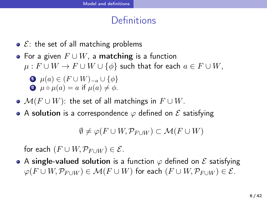## **Definitions**

- $\bullet$   $\mathcal{E}$ : the set of all matching problems
- For a given *F ∪ W*, a matching is a function *µ* :  $F \cup W \rightarrow F \cup W \cup \{\phi\}$  such that for each  $a \in F \cup W$ ,
	- $\mathbf{D}$   $\mu(a) \in (F \cup W)_{-a} \cup \{\phi\}$ 2  $\mu \circ \mu(a) = a$  if  $\mu(a) \neq \phi$ .
- *M*(*F ∪ W*): the set of all matchings in *F ∪ W*.
- A solution is a correspondence *φ* defined on *E* satisfying

 $\emptyset \neq \varphi(F \cup W, \mathcal{P}_{F \cup W}) \subset \mathcal{M}(F \cup W)$ 

for each  $(F \cup W, \mathcal{P}_{F \cup W}) \in \mathcal{E}$ .

A single-valued solution is a function *φ* defined on *E* satisfying  $\varphi(F \cup W, \mathcal{P}_{F \cup W}) \in \mathcal{M}(F \cup W)$  for each  $(F \cup W, \mathcal{P}_{F \cup W}) \in \mathcal{E}$ .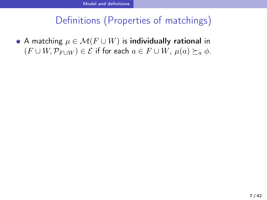# Definitions (Properties of matchings)

A matching *µ ∈ M*(*F ∪ W*) is individually rational in  $(F ∪ W, P<sub>F ∪ W</sub>) ∈ E$  if for each  $a ∈ F ∪ W$ ,  $\mu(a) ≥ a \phi$ .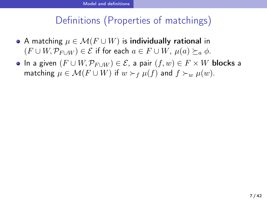- A matching *µ ∈ M*(*F ∪ W*) is individually rational in  $(F ∪ W, P_{F ∪ W}) ∈ E$  if for each  $a ∈ F ∪ W$ ,  $\mu(a) ≥ a \phi$ .
- $\bullet$  In a given  $(F \cup W, \mathcal{P}_{F \cup W}) \in \mathcal{E}$ , a pair  $(f, w) \in F \times W$  blocks a matching  $\mu \in \mathcal{M}(F \cup W)$  if  $w \succ_f \mu(f)$  and  $f \succ_w \mu(w)$ .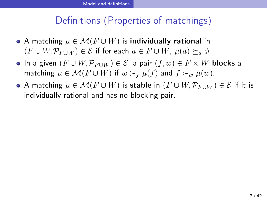- A matching *µ ∈ M*(*F ∪ W*) is individually rational in  $(F ∪ W, P<sub>F ∪ W</sub>) ∈ E$  if for each  $a ∈ F ∪ W$ ,  $\mu(a) ≥<sub>a</sub> φ$ .
- In a given (*F ∪ W,P<sup>F</sup> <sup>∪</sup><sup>W</sup>* ) *∈ E*, a pair (*f, w*) *∈ F × W* blocks a matching  $\mu \in \mathcal{M}(F \cup W)$  if  $w \succ_f \mu(f)$  and  $f \succ_w \mu(w)$ .
- $\bullet$  A matching  $\mu \in \mathcal{M}(F \cup W)$  is stable in  $(F \cup W, \mathcal{P}_{F \cup W}) \in \mathcal{E}$  if it is individually rational and has no blocking pair.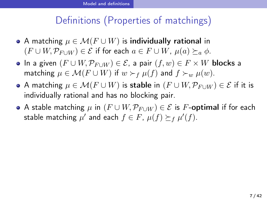- $\bullet$  A matching  $\mu \in \mathcal{M}(F \cup W)$  is individually rational in  $(F ∪ W, P_{F ∪ W}) ∈ E$  if for each  $a ∈ F ∪ W$ ,  $\mu(a) ≥ a \phi$ .
- In a given (*F ∪ W,P<sup>F</sup> <sup>∪</sup><sup>W</sup>* ) *∈ E*, a pair (*f, w*) *∈ F × W* blocks a matching  $\mu \in \mathcal{M}(F \cup W)$  if  $w \succ_f \mu(f)$  and  $f \succ_w \mu(w)$ .
- $\bullet$  A matching  $\mu \in \mathcal{M}(F \cup W)$  is stable in  $(F \cup W, \mathcal{P}_{F \cup W}) \in \mathcal{E}$  if it is individually rational and has no blocking pair.
- A stable matching *µ* in (*F ∪ W,P<sup>F</sup> <sup>∪</sup><sup>W</sup>* ) *∈ E* is *F*-optimal if for each  $\mathsf{stable}$  matching  $\mu'$  and each  $f \in F$ ,  $\mu(f) \succeq_f \mu'(f)$ .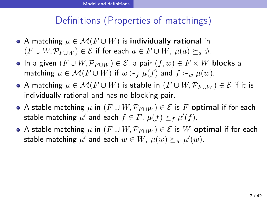- A matching *µ ∈ M*(*F ∪ W*) is individually rational in  $(F ∪ W, P<sub>F ∪ W</sub>) ∈ E$  if for each  $a ∈ F ∪ W$ ,  $\mu(a) ≥<sub>a</sub> φ$ .
- $\bullet$  In a given  $(F \cup W, \mathcal{P}_{F \cup W}) \in \mathcal{E}$ , a pair  $(f, w) \in F \times W$  blocks a matching  $\mu \in \mathcal{M}(F \cup W)$  if  $w \succ_f \mu(f)$  and  $f \succ_w \mu(w)$ .
- $\bullet$  A matching  $\mu \in \mathcal{M}(F \cup W)$  is stable in  $(F \cup W, \mathcal{P}_{F \cup W}) \in \mathcal{E}$  if it is individually rational and has no blocking pair.
- $\bullet$  A stable matching  $\mu$  in  $(F \cup W, \mathcal{P}_{F \cup W}) \in \mathcal{E}$  is *F*-optimal if for each  $\mathsf{stable}$  matching  $\mu'$  and each  $f \in F$ ,  $\mu(f) \succeq_f \mu'(f)$ .
- **•** A stable matching  $\mu$  in  $(F \cup W, \mathcal{P}_{F \cup W}) \in \mathcal{E}$  is W-optimal if for each  $\mathsf{stable}$  matching  $\mu'$  and each  $w \in W$ ,  $\mu(w) \succeq_{w} \mu'(w)$ .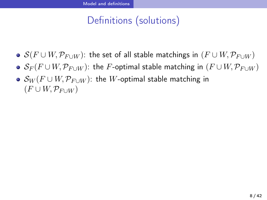- $S(F ∪ W, P_{F ∪ W})$ : the set of all stable matchings in  $(F ∪ W, P_{F ∪ W})$
- $\bullet$  *S<sub>F</sub>*(*F* ∪ *W,*  $P_{F\cup W}$ ): the *F*-optimal stable matching in (*F* ∪ *W,*  $P_{F\cup W}$ )
- $\mathcal{S}_W(F\cup W, \mathcal{P}_{F\cup W})$ : the  $W$ -optimal stable matching in  $(F \cup W, \mathcal{P}_{F \cup W})$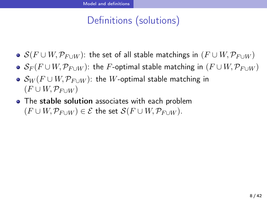- $S(F ∪ W, P_{F ∪ W})$ : the set of all stable matchings in  $(F ∪ W, P_{F ∪ W})$
- $\bullet$  *S<sub>F</sub>*(*F* ∪ *W*,  $\mathcal{P}_{F\cup W}$ ): the *F*-optimal stable matching in (*F* ∪ *W*,  $\mathcal{P}_{F\cup W}$ )
- *S<sup>W</sup>* (*F ∪ W,P<sup>F</sup> <sup>∪</sup><sup>W</sup>* ): the *W*-optimal stable matching in  $(F \cup W, \mathcal{P}_{F \cup W})$
- The stable solution associates with each problem  $(F ∪ W, P_{F∪W}) ∈ E$  the set  $S(F ∪ W, P_{F∪W})$ .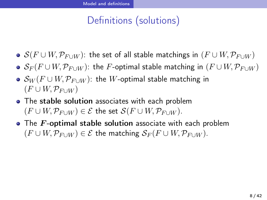- $S(F ∪ W, P_{F ∪ W})$ : the set of all stable matchings in  $(F ∪ W, P_{F ∪ W})$
- $\bullet$  *S<sub>F</sub>*(*F* ∪ *W,*  $P_{F\cup W}$ ): the *F*-optimal stable matching in (*F* ∪ *W,*  $P_{F\cup W}$ )
- *S<sup>W</sup>* (*F ∪ W,P<sup>F</sup> <sup>∪</sup><sup>W</sup>* ): the *W*-optimal stable matching in  $(F \cup W, \mathcal{P}_{F \cup W})$
- The stable solution associates with each problem  $(F ∪ W, P_{F ∪ W}) ∈ E$  the set  $S(F ∪ W, P_{F ∪ W})$ .
- The *F*-optimal stable solution associate with each problem  $(F ∪ W, P_{F ∪ W}) ∈ E$  the matching  $S_F(F ∪ W, P_{F ∪ W})$ .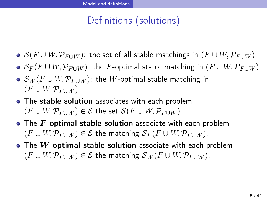- $S(F ∪ W, P_{F ∪ W})$ : the set of all stable matchings in  $(F ∪ W, P_{F ∪ W})$
- $\bullet$  *S<sub>F</sub>*(*F* ∪ *W*,  $\mathcal{P}_{F\cup W}$ ): the *F*-optimal stable matching in (*F* ∪ *W*,  $\mathcal{P}_{F\cup W}$ )
- *S<sup>W</sup>* (*F ∪ W,P<sup>F</sup> <sup>∪</sup><sup>W</sup>* ): the *W*-optimal stable matching in  $(F \cup W, \mathcal{P}_{F \cup W})$
- The stable solution associates with each problem  $(F \cup W, \mathcal{P}_{F \cup W}) \in \mathcal{E}$  the set  $\mathcal{S}(F \cup W, \mathcal{P}_{F \cup W})$ .
- **•** The *F*-optimal stable solution associate with each problem  $(F ∪ W, P_{F ∪ W}) ∈ E$  the matching  $S_F(F ∪ W, P_{F ∪ W})$ .
- The *W*-optimal stable solution associate with each problem  $(F ∪ W, P_{F ∪ W}) ∈ E$  the matching  $S_W(F ∪ W, P_{F ∪ W})$ .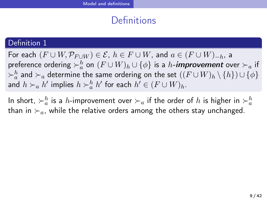## **Definitions**

### Definition 1

 $\mathsf{For~each~}(F \cup W, \mathcal{P}_{F \cup W}) \in \mathcal{E},~h \in F \cup W,~\mathsf{and}~a \in (F \cup W)_{-h},~\mathsf{and}~b$  $\mathsf{preference}$  ordering  $\succ^h_a$  on  $(F\cup W)_h\cup\{\phi\}$  is a  $h$ -**improvement** over  $\succ_a$  if  $\succ^h_a$  and  $\succ_a$  determine the same ordering on the set  $((F\cup W)_h\setminus\{h\})\cup\{\phi\}$ and  $h$  ≻<sub>*a*</sub>  $h'$  implies  $h$  ≻ $\frac{h}{a}$   $h'$  for each  $h' \in (F \cup W)_h$ .

In short,  $\succ_a^h$  is a *h*-improvement over  $\succ_a$  if the order of  $h$  is higher in  $\succ_a^h$ than in *≻a*, while the relative orders among the others stay unchanged.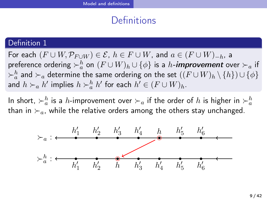## **Definitions**

#### Definition 1

 $\mathsf{For~each~}(F \cup W, \mathcal{P}_{F \cup W}) \in \mathcal{E},~h \in F \cup W,~\mathsf{and}~a \in (F \cup W)_{-h},~\mathsf{and}~b$  $\mathsf{preference}$  ordering  $\succ^h_a$  on  $(F\cup W)_h\cup\{\phi\}$  is a  $h$ -**improvement** over  $\succ_a$  if  $\succ^h_a$  and  $\succ_a$  determine the same ordering on the set  $((F\cup W)_h\setminus\{h\})\cup\{\phi\}$ and  $h$  ≻<sub>*a*</sub>  $h'$  implies  $h$  ≻ $\frac{h}{a}$   $h'$  for each  $h' \in (F \cup W)_h$ .

In short,  $\succ_a^h$  is a *h*-improvement over  $\succ_a$  if the order of  $h$  is higher in  $\succ_a^h$ than in *≻a*, while the relative orders among the others stay unchanged.

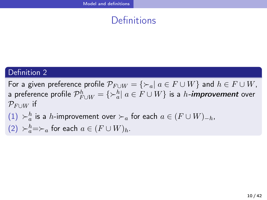## Definitions

## Definition 2

 $\mathsf{For}$  a given preference profile  $\mathcal{P}_{F \cup W} = \{ \succ_a | \ a \in F \cup W \}$  and  $h \in F \cup W$ , a preference profile  $\mathcal{P}_{F \cup W}^h = \{ \succ_a^h | \ a \in F \cup W \}$  is a  $h$ -**improvement** over  $\mathcal{P}_{F\cup W}$  if

- $(1)$   $\succ^h_a$  is a *h*-improvement over  $\succ_a$  for each  $a \in (F \cup W)_{-h}$ ,
- (2)  $\vDash h$ <sup>*a*</sup>  $\equiv \vDash$ *a* for each *a* ∈  $(F ∪ W)$ *h*.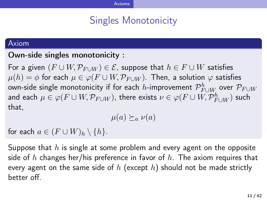# Axioms

## Singles Monotonicity

#### Axiom

### Own-side singles monotonicity :

For a given  $(F \cup W, \mathcal{P}_{F \cup W}) \in \mathcal{E}$ , suppose that  $h \in F \cup W$  satisfies  $\mu(h) = \phi$  for each  $\mu \in \varphi(F \cup W, \mathcal{P}_{F \cup W})$ . Then, a solution  $\varphi$  satisfies own-side single monotonicity if for each *h-*improvement  $\mathcal{P}_{F\cup W}^{h}$  over  $\mathcal{P}_{F\cup W}$ and each  $\mu \in \varphi(F \cup W, \mathcal{P}_{F \cup W})$ , there exists  $\nu \in \varphi(F \cup W, \mathcal{P}_{F \cup W}^h)$  such that,

 $\mu(a) \succeq_a \nu(a)$ 

for each  $a \in (F \cup W)_h \setminus \{h\}.$ 

Suppose that *h* is single at some problem and every agent on the opposite side of *h* changes her/his preference in favor of *h*. The axiom requires that every agent on the same side of *h* (except *h*) should not be made strictly better off.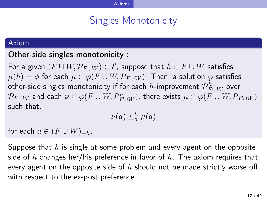## Axioms

## Singles Monotonicity

#### Axiom

### Other-side singles monotonicity :

For a given  $(F \cup W, \mathcal{P}_{F \cup W}) \in \mathcal{E}$ , suppose that  $h \in F \cup W$  satisfies  $\mu(h) = \phi$  for each  $\mu \in \varphi(F \cup W, \mathcal{P}_{F \cup W})$ . Then, a solution  $\varphi$  satisfies  $\sigma$   $\mathcal{P}_{F\cup W}^{h}$  over  $\sigma$  *h* and  $\sigma$  is the for each *h*-improvement  $\mathcal{P}_{F\cup W}^{h}$  over  $\mathcal{P}_{F \cup W}$  and each  $\nu \in \varphi(F \cup W, \mathcal{P}_{F \cup W}^h)$ , there exists  $\mu \in \varphi(F \cup W, \mathcal{P}_{F \cup W})$ such that,

$$
\nu(a) \succeq_a^h \mu(a)
$$

for each  $a \in (F \cup W)_{-h}$ .

Suppose that *h* is single at some problem and every agent on the opposite side of *h* changes her/his preference in favor of *h*. The axiom requires that every agent on the opposite side of *h* should not be made strictly worse off with respect to the ex-post preference.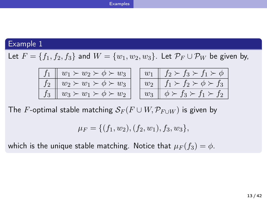#### Examples

## Example 1

Let  $F = \{f_1, f_2, f_3\}$  and  $W = \{w_1, w_2, w_3\}$ . Let  $\mathcal{P}_F \cup \mathcal{P}_W$  be given by,

| $f_1 \parallel w_1 \succ w_2 \succ \phi \succ w_3$ |  | $w_1 \parallel f_2 \succ f_3 \succ f_1 \succ \phi$ |
|----------------------------------------------------|--|----------------------------------------------------|
| $f_2 \parallel w_2 \succ w_1 \succ \phi \succ w_3$ |  | $w_2 \parallel f_1 \succ f_2 \succ \phi \succ f_3$ |
| $f_3 \parallel w_3 \succ w_1 \succ \phi \succ w_2$ |  | $w_3 \parallel \phi \succ f_3 \succ f_1 \succ f_2$ |

The *F*-optimal stable matching  $\mathcal{S}_F(F \cup W, \mathcal{P}_{F \cup W})$  is given by

$$
\mu_F = \{ (f_1, w_2), (f_2, w_1), f_3, w_3 \},
$$

which is the unique stable matching. Notice that  $\mu_F(f_3) = \phi$ .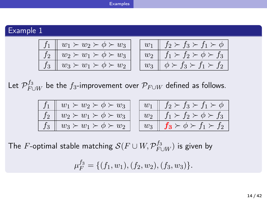#### Examples

Example 1

| $f_1 \parallel w_1 \succ w_2 \succ \phi \succ w_3$ |  | $w_1 \parallel f_2 \succ f_3 \succ f_1 \succ \phi$ |  |
|----------------------------------------------------|--|----------------------------------------------------|--|
| $f_2 \parallel w_2 \succ w_1 \succ \phi \succ w_3$ |  | $w_2 \parallel f_1 \succ f_2 \succ \phi \succ f_3$ |  |
| $f_3 \parallel w_3 \succ w_1 \succ \phi \succ w_2$ |  | $w_3 \parallel \phi \succ f_3 \succ f_1 \succ f_2$ |  |

Let  $\mathcal{P}_{F\cup W}^{f_3}$  be the  $f_3$ -improvement over  $\mathcal{P}_{F\cup W}$  defined as follows.

| $f_1 \parallel w_1 \succ w_2 \succ \phi \succ w_3$ |  | $w_1 \parallel f_2 \succ f_3 \succ f_1 \succ \phi$           |
|----------------------------------------------------|--|--------------------------------------------------------------|
| $f_2 \parallel w_2 \succ w_1 \succ \phi \succ w_3$ |  | $w_2 \parallel f_1 \succ f_2 \succ \phi \succ f_3$           |
| $\mid f_3 \mid w_3 \succ w_1 \succ \phi \succ w_2$ |  | $w_3 \parallel f_3 \succ \phi \succ f_1 \succ f_2 \parallel$ |

The  $F$ -optimal stable matching  $\mathcal{S}(F \cup W, \mathcal{P}_{F \cup W}^{f_3})$  is given by

$$
\mu_F^{f_3} = \{ (f_1, w_1), (f_2, w_2), (f_3, w_3) \}.
$$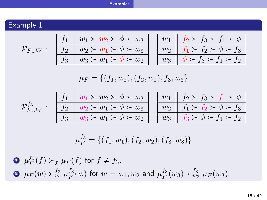|           | <b>Examples</b>                                                                                                                                                                                                                                                                                                                                                            |
|-----------|----------------------------------------------------------------------------------------------------------------------------------------------------------------------------------------------------------------------------------------------------------------------------------------------------------------------------------------------------------------------------|
|           |                                                                                                                                                                                                                                                                                                                                                                            |
| Example 1 |                                                                                                                                                                                                                                                                                                                                                                            |
|           | $f_2 \succ f_3 \succ f_1 \succ \phi$<br>$\mathcal{P}_{F \cup W} : \begin{array}{ c c c } \hline f_1 & w_1 \succ w_2 & , & , \\ \hline f_2 & w_2 \succ w_1 \succ \phi \succ w_3 & , \\ \hline f_3 & w_3 \succ w_1 \succ \phi \succ w_2 & , \end{array}$<br>$w_1$<br>$w_2 \parallel f_1 \succ f_2 \succ \phi \succ f_3$<br>$\phi \succ f_3 \succ f_1 \succ f_2$<br>$w_3$     |
|           | $\mu_F = \{(f_1, w_2), (f_2, w_1), f_3, w_3\}$                                                                                                                                                                                                                                                                                                                             |
|           | $w_1 \parallel f_2 \succ f_3 \succ f_1 \succ \phi$<br>$\mathcal{P}_{F \cup W}^{f_3}: \begin{array}{ l l } f_1 & w_1 \succ w_2 \succ \phi \succ w_3 \ \hline f_2 & w_2 \succ w_1 \succ \phi \succ w_3 \ \hline f_3 & w_3 \succ w_1 \succ \phi \succ w_2 \end{array}$<br>$w_2 \parallel f_1 \succ f_2 \succ \phi \succ f_3$<br>$f_3 \succ \phi \succ f_1 \succ f_2$<br>$w_3$ |
|           | $\mu_F^{f_3} = \{(f_1, w_1), (f_2, w_2), (f_3, w_3)\}\$                                                                                                                                                                                                                                                                                                                    |
|           | $\bullet \mu_F^{J_3}(f) \succ_f \mu_F(f)$ for $f \neq f_3$ .                                                                                                                                                                                                                                                                                                               |
|           | $\bullet \mu_F(w) > w^{f_3}_w \mu_F^{f_3}(w)$ for $w = w_1, w_2$ and $\mu_F^{f_3}(w_3) > w^{f_3}_w \mu_F(w_3)$ .                                                                                                                                                                                                                                                           |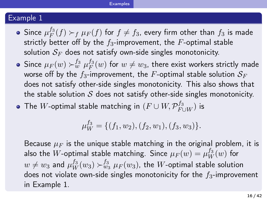#### Example 1

Since  $\mu_F^{f_3}$  $F^{J3}_F(f) \succ_f \mu_F(f)$  for  $f \neq f_3$ , every firm other than  $f_3$  is made strictly better off by the *f*3-improvement, the *F*-optimal stable solution  $S_F$  does not satisfy own-side singles monotonicity.

Examples

- Since  $\mu_F(w) \succ_w^{f_3} \mu_F^{f_3}$  $F^{J3}_F(w)$  for  $w \neq w_3$ , there exist workers strictly made worse off by the  $f_3$ -improvement, the  $F$ -optimal stable solution  $S_F$ does not satisfy other-side singles monotonicity. This also shows that the stable solution *S* does not satisfy other-side singles monotonicity.
- The  $W$ -optimal stable matching in  $(F\cup W, \mathcal{P}_{F\cup W}^{f_3})$  is

 $\mu_W^{f_3} = \{(f_1, w_2), (f_2, w_1), (f_3, w_3)\}.$ 

Because  $\mu_F$  is the unique stable matching in the original problem, it is also the  $W$ -optimal stable matching. Since  $\mu_F(w) = \mu_W^{f_3}(w)$  for  $w \neq w_3$  and  $\mu_W^{f_3}(w_3) \succ_{w_3}^{f_3} \mu_F(w_3)$ , the  $W$ -optimal stable solution does not violate own-side singles monotonicity for the *f*3-improvement in Example 1.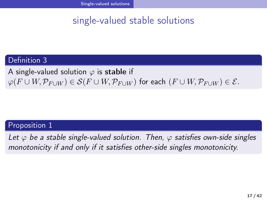Single-valued solutions

# single-valued stable solutions

## Definition 3

A single-valued solution *φ* is stable if  $\varphi(F \cup W, \mathcal{P}_{F \cup W}) \in \mathcal{S}(F \cup W, \mathcal{P}_{F \cup W})$  for each  $(F \cup W, \mathcal{P}_{F \cup W}) \in \mathcal{E}$ .

### Proposition 1

*Let φ be a stable single-valued solution. Then, φ satisfies own-side singles monotonicity if and only if it satisfies other-side singles monotonicity.*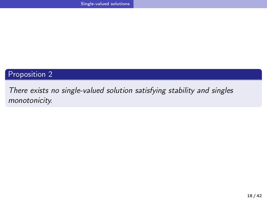Single-valued solutions

## Proposition 2

*There exists no single-valued solution satisfying stability and singles monotonicity.*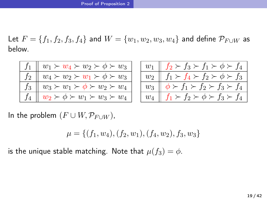${\sf Let} \,\, F=\{f_1,f_2,f_3,f_4\}$  and  $W=\{w_1,w_2,w_3,w_4\}$  and define  $\mathcal{P}_{F \cup W}$  as below.

| $f_1 \parallel w_1 \succ w_4 \succ w_2 \succ \phi \succ w_3$ |  | $w_1 \parallel f_2 \succ f_3 \succ f_1 \succ \phi \succ f_4$ |
|--------------------------------------------------------------|--|--------------------------------------------------------------|
| $f_2 \parallel w_4 \succ w_2 \succ w_1 \succ \phi \succ w_3$ |  | $w_2 \parallel f_1 \succ f_4 \succ f_2 \succ \phi \succ f_3$ |
| $f_3 \parallel w_3 \succ w_1 \succ \phi \succ w_2 \succ w_4$ |  | $w_3 \parallel \phi \succ f_1 \succ f_2 \succ f_3 \succ f_4$ |
| $f_4 \parallel w_2 \succ \phi \succ w_1 \succ w_3 \succ w_4$ |  | $w_4 \parallel f_1 \succ f_2 \succ \phi \succ f_3 \succ f_4$ |

In the problem  $(F \cup W, \mathcal{P}_{F \cup W})$ ,

 $\mu = \{(f_1, w_4), (f_2, w_1), (f_4, w_2), f_3, w_3\}$ 

is the unique stable matching. Note that  $\mu(f_3) = \phi$ .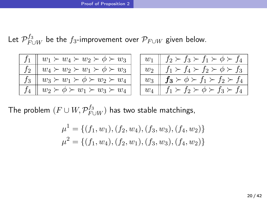Let  $\mathcal{P}_{F\cup W}^{f_3}$  be the  $f_3$ -improvement over  $\mathcal{P}_{F\cup W}$  given below.

| $\overline{w_1 \succ w_4} \succ w_2 \succ \phi \succ w_3$  |
|------------------------------------------------------------|
| $w_4\succ w_2\succ \overline{w_1\succ\phi\succ w_3}$       |
| $\underline{w_3 \succ w_1 \succ \phi \succ w_2 \succ w_4}$ |
| $w_2 \succ \phi \succ w_1 \succ w_3 \succ w_4$             |

|                | $f_2 \succ f_3 \succ f_1 \succ \phi \succ f_4$ |
|----------------|------------------------------------------------|
| $w_2$          | $f_1 \succ f_4 \succ f_2 \succ \phi \succ f_3$ |
| $w_3$          | $f_3 \succ \phi \succ f_1 \succ f_2 \succ f_4$ |
| w <sub>4</sub> | $f_1 \succ f_2 \succ \phi \succ f_3 \succ f_4$ |

The problem  $(F\cup W,\mathcal{P}_{F\cup W}^{f_3})$  has two stable matchings,

$$
\mu^1 = \{ (f_1, w_1), (f_2, w_4), (f_3, w_3), (f_4, w_2) \}
$$
  

$$
\mu^2 = \{ (f_1, w_4), (f_2, w_1), (f_3, w_3), (f_4, w_2) \}
$$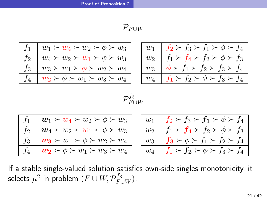| $w_1 \succ w_4 \succ w_2 \succ \phi \succ w_3$           |
|----------------------------------------------------------|
| $w_4 \succ w_2 \succ w_1 \succ \phi \succ w_3$           |
| $\parallel w_3 \succ w_1 \succ \phi \succ w_2 \succ w_4$ |
| $w_2 \succ \phi \succ w_1 \succ w_3 \succ w_4$           |
|                                                          |

|       | $\succ f_3 \succ f_1 \succ \phi \succ f_4$     |
|-------|------------------------------------------------|
| $w_2$ | $f_1 \succ f_4 \succ f_2 \succ \phi \succ f_3$ |
| $w_3$ | $\succ f_1 \succ f_2 \succ f_3 \succ f_4$      |
| $w_4$ | $f_1 \succ f_2 \succ \phi \succ f_3 \succ f_4$ |

$$
\mathcal{P}_{F \cup W}^{f_3}
$$

| $f_1 \parallel \boldsymbol{w_1} \succ w_4 \succ w_2 \succ \phi \succ w_3$ |  | $w_1 \parallel f_2 \succ f_3 \succ f_1 \succ \phi \succ f_4$ |
|---------------------------------------------------------------------------|--|--------------------------------------------------------------|
| $f_2 \parallel \boldsymbol{w_4} \succ w_2 \succ w_1 \succ \phi \succ w_3$ |  | $w_2 \parallel f_1 \succ f_4 \succ f_2 \succ \phi \succ f_3$ |
| $f_3 \parallel \boldsymbol{w_3} \succ w_1 \succ \phi \succ w_2 \succ w_4$ |  | $w_3 \parallel f_3 \succ \phi \succ f_1 \succ f_2 \succ f_4$ |
| $f_4 \parallel \bm{w_2} \succ \phi \succ w_1 \succ w_3 \succ w_4$         |  | $w_4 \parallel f_1 \succ f_2 \succ \phi \succ f_3 \succ f_4$ |

If a stable single-valued solution satisfies own-side singles monotonicity, it selects  $\mu^2$  in problem  $(F \cup W, \mathcal{P}_{F \cup W}^{f_3})$ .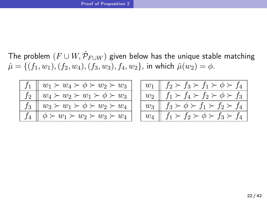The problem  $(F\cup W, \hat{\mathcal{P}}_{F\cup W})$  given below has the unique stable matching  $\hat{\mu} = \{(f_1, w_1), (f_2, w_4), (f_3, w_3), f_4, w_2\}$ , in which  $\hat{\mu}(w_2) = \phi$ .

| $w_1 \succ w_4 \succ \phi \succ w_2 \succ w_3$ |
|------------------------------------------------|
| $w_4 \succ w_2 \succ w_1 \succ \phi \succ w_3$ |
| $w_3 \succ w_1 \succ \phi \succ w_2 \succ w_4$ |
| $\phi \succ w_1 \succ w_2 \succ w_3 \succ w_4$ |

|       | $\phi \succ t_4$<br>$f_2 \succ f_3 \succ f_1 \succ$            |
|-------|----------------------------------------------------------------|
| $w_2$ | $\overline{f_1} \succ f_4 \succ f_2 \succ$<br>$\phi \succ f_3$ |
| $w_3$ | $f_3 \succ \phi \succ f_1 \succ f_2 \succ f$<br>$\mathbf{r}_4$ |
|       | $\succ f_2 \succ \phi \succ f_3 \succ f_4$                     |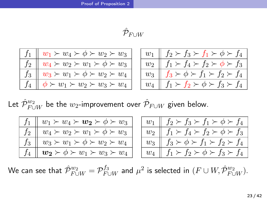## $\hat{\mathcal{P}}_{F \cup W}$

| $w_1 \succ w_4 \succ \phi \succ w_2 \succ w_3$ |
|------------------------------------------------|
| $w_4 \succ w_2 \succ w_1 \succ \phi \succ w_3$ |
| $w_3 \succ w_1 \succ \phi \succ w_2 \succ w_4$ |
| $\phi \succ w_1 \succ w_2 \succ w_3 \succ w_4$ |

|       | $f_2 \succ f_3 \succ f_1 \succ \phi \succ f_4$      |
|-------|-----------------------------------------------------|
| $w_2$ | $\succ f_4 \succ f_2 \succ \phi$<br>$\succ f_3$     |
| $w_3$ | $\succ f_1 \succ f_2 \succ f_4$<br>$t_3 \succ \phi$ |
|       | $f_1 \succ f_2 \succ \phi \succ f_3 \succ f_4$      |

Let  $\hat{\mathcal{P}}_{F \cup W}^{w_2}$  be the  $w_2$ -improvement over  $\hat{\mathcal{P}}_{F \cup W}$  given below.

| $w_4 \succ w_2 \succ w_1 \succ \phi \succ w_3$<br>$w_3 \succ w_1 \succ \phi \succ w_2 \succ w_4$ | $w_1 \succ w_4 \succ w_2 \succ \phi \succ w_3$ |  | $w_1 \parallel f_2 \succ f_3 \succ f_1 \succ \phi \succ f_4$ |
|--------------------------------------------------------------------------------------------------|------------------------------------------------|--|--------------------------------------------------------------|
|                                                                                                  |                                                |  | $f_1 \succ f_4 \succ f_2 \succ \phi \succ f_3$               |
|                                                                                                  |                                                |  | $f_3 \succ \phi \succ f_1 \succ f_2 \succ f_4$               |
| $f_4 \parallel \bm{w_2} \succ \phi \succ w_1 \succ w_3 \succ w_4$                                |                                                |  | $f_1 \succ f_2 \succ \phi \succ f_3 \succ f_4$               |

 $W$ e can see that  $\hat{\cal P}_{F\cup W}^{w_2} = {\cal P}_{F\cup W}^{f_3}$  and  $\mu^2$  is selected in  $(F\cup W, \hat{\cal P}_{F\cup W}^{w_2}).$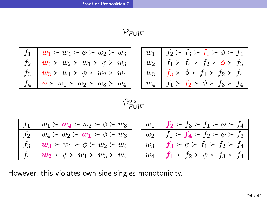# $\hat{\mathcal{P}}_{F \cup W}$

|    | $w_1 \succ w_4 \succ \phi \succ w_2 \succ w_3$ |
|----|------------------------------------------------|
| f2 | $w_4 \succ w_2 \succ w_1 \succ \phi \succ w_3$ |
| fз | $w_3 \succ w_1 \succ \phi \succ w_2 \succ w_4$ |
|    | $\phi \succ w_1 \succ w_2 \succ w_3 \succ w_4$ |

| $w_1$ | $\parallel f_2 \succ f_3 \succ f_1 \succ \phi \succ f_4 \parallel$ |
|-------|--------------------------------------------------------------------|
| $w_2$ | $f_1 \succ f_4 \succ f_2 \succ \phi \succ f_3$                     |
| $w_3$ | $f_3 \succ \phi \succ f_1 \succ f_2 \succ f_4$                     |
|       | $f_1 \succ f_2 \succ \phi \succ f_3 \succ f_4$                     |

## $\hat{\mathcal{P}}^{w_2}_{F \cup W}$

|  | $f_1 \parallel w_1 \succ w_4 \succ w_2 \succ \phi \succ w_3$ |  | $w_1 \parallel f_2 \succ f_3 \succ f_1 \succ \phi \succ f_4$ |
|--|--------------------------------------------------------------|--|--------------------------------------------------------------|
|  | $f_2 \parallel w_4 \succ w_2 \succ w_1 \succ \phi \succ w_3$ |  | $w_2 \parallel f_1 \succ f_4 \succ f_2 \succ \phi \succ f_3$ |
|  | $f_3 \parallel w_3 \succ w_1 \succ \phi \succ w_2 \succ w_4$ |  | $w_3 \parallel f_3 \succ \phi \succ f_1 \succ f_2 \succ f_4$ |
|  | $f_4 \parallel w_2 \succ \phi \succ w_1 \succ w_3 \succ w_4$ |  | $w_4 \parallel f_1 \succ f_2 \succ \phi \succ f_3 \succ f_4$ |
|  |                                                              |  |                                                              |

However, this violates own-side singles monotonicity.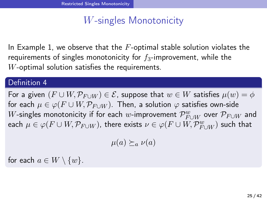## *W*-singles Monotonicity

In Example 1, we observe that the *F*-optimal stable solution violates the requirements of singles monotonicity for *f*3-improvement, while the *W*-optimal solution satisfies the requirements.

#### Definition 4

For a given  $(F \cup W, \mathcal{P}_{F \cup W}) \in \mathcal{E}$ , suppose that  $w \in W$  satisfies  $\mu(w) = \phi$ for each  $\mu \in \varphi(F \cup W, \mathcal{P}_{F \cup W})$ . Then, a solution  $\varphi$  satisfies own-side  $W$ -singles monotonicity if for each  $w$ -improvement  $\mathcal{P}_{F\cup W}^{w}$  over  $\mathcal{P}_{F\cup W}$  and  $\mu\in\varphi(F\cup W, \mathcal{P}_{F\cup W})$ , there exists  $\nu\in\varphi(F\cup W, \mathcal{P}_{F\cup W}^{w})$  such that

 $\mu(a) \succeq_a \nu(a)$ 

for each  $a \in W \setminus \{w\}$ .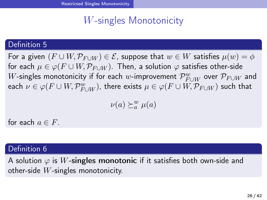## *W*-singles Monotonicity

### Definition 5

For a given  $(F \cup W, \mathcal{P}_{F \cup W}) \in \mathcal{E}$ , suppose that  $w \in W$  satisfies  $\mu(w) = \phi$ for each  $\mu \in \varphi(F \cup W, \mathcal{P}_{F \cup W})$ . Then, a solution  $\varphi$  satisfies other-side  $W$ -singles monotonicity if for each  $w$ -improvement  $\mathcal{P}_{F\cup W}^{w}$  over  $\mathcal{P}_{F\cup W}$  and  $\varphi$  *e a*ch  $\nu \in \varphi(F \cup W, \mathcal{P}_{F \cup W}^{w}),$  there exists  $\mu \in \varphi(F \cup W, \mathcal{P}_{F \cup W})$  such that

$$
\nu(a)\succeq_a^w\mu(a)
$$

for each  $a \in F$ .

### Definition 6

A solution  $\varphi$  is *W*-singles monotonic if it satisfies both own-side and other-side *W*-singles monotonicity.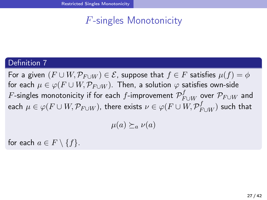# *F*-singles Monotonicity

### Definition 7

For a given  $(F \cup W, \mathcal{P}_{F \cup W}) \in \mathcal{E}$ , suppose that  $f \in F$  satisfies  $\mu(f) = \phi$ for each  $\mu \in \varphi(F \cup W, \mathcal{P}_{F \cup W})$ . Then, a solution  $\varphi$  satisfies own-side  $F$ -singles monotonicity if for each  $f$ -improvement  $\mathcal{P}_{F\cup W}^f$  over  $\mathcal{P}_{F\cup W}$  and  $\mu\in\varphi(F\cup W, \mathcal{P}_{F\cup W})$ , there exists  $\nu\in\varphi(F\cup W, \mathcal{P}_{F\cup W}^{f})$  such that

 $\mu(a) \succeq_a \nu(a)$ 

for each  $a \in F \setminus \{f\}$ .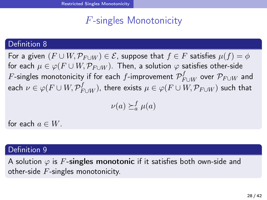# *F*-singles Monotonicity

### Definition 8

For a given  $(F \cup W, \mathcal{P}_{F \cup W}) \in \mathcal{E}$ , suppose that  $f \in F$  satisfies  $\mu(f) = \phi$ for each  $\mu \in \varphi(F \cup W, \mathcal{P}_{F \cup W})$ . Then, a solution  $\varphi$  satisfies other-side  $F$ -singles monotonicity if for each  $f$ -improvement  $\mathcal{P}_{F\cup W}^{f}$  over  $\mathcal{P}_{F\cup W}$  and  $\epsilon$  ach  $\nu \in \varphi(F \cup W, \mathcal{P}_{F \cup W}^{f})$ , there exists  $\mu \in \varphi(F \cup W, \mathcal{P}_{F \cup W})$  such that

$$
\nu(a) \succeq_a^f \mu(a)
$$

for each  $a \in W$ .

#### Definition 9

A solution  $\varphi$  is F-singles monotonic if it satisfies both own-side and other-side *F*-singles monotonicity.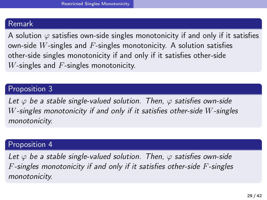#### Remark

A solution  $\varphi$  satisfies own-side singles monotonicity if and only if it satisfies own-side *W*-singles and *F*-singles monotonicity. A solution satisfies other-side singles monotonicity if and only if it satisfies other-side *W*-singles and *F*-singles monotonicity.

### Proposition 3

*Let φ be a stable single-valued solution. Then, φ satisfies own-side W-singles monotonicity if and only if it satisfies other-side W-singles monotonicity.*

### Proposition 4

*Let φ be a stable single-valued solution. Then, φ satisfies own-side F-singles monotonicity if and only if it satisfies other-side F-singles monotonicity.*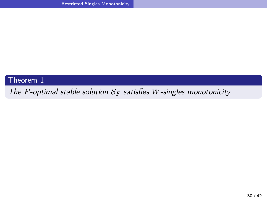Theorem 1

*The F-optimal stable solution S<sup>F</sup> satisfies W-singles monotonicity.*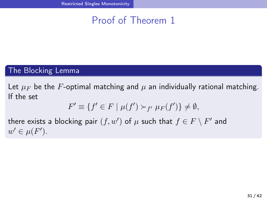## Proof of Theorem 1

## The Blocking Lemma

Let  $\mu_F$  be the *F*-optimal matching and  $\mu$  an individually rational matching. If the set

$$
F' \equiv \{ f' \in F \mid \mu(f') \succ_{f'} \mu_F(f') \} \neq \emptyset,
$$

there exists a blocking pair  $(f, w')$  of  $\mu$  such that  $f \in F \setminus F'$  and  $w' \in \mu(F')$ .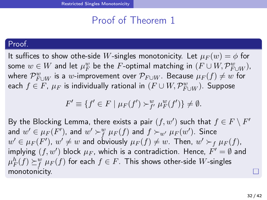### Proof of Theorem 1

#### Proof.

It suffices to show othe-side *W*-singles monotonicity. Let  $\mu_F(w) = \phi$  for some  $w \in W$  and let  $\mu_F^w$  be the  $F$ -optimal matching in  $(F \cup W, \mathcal{P}_{F \cup W}^w)$ ,  $\mathcal{P}_{F \cup W}^w$  is a  $w$ -improvement over  $\mathcal{P}_{F \cup W}$ . Because  $\mu_F(f) \neq w$  for  $\mathsf{each}\,\,f\in F$ ,  $\mu_F$  is individually rational in  $(F\cup W, \mathcal{P}_{F\cup W}^{w})$ . Suppose

$$
F' \equiv \{ f' \in F \mid \mu_F(f') \succ^w_{f'} \mu_F^w(f') \} \neq \emptyset.
$$

By the Blocking Lemma, there exists a pair  $(f, w')$  such that  $f \in F \setminus F'$ and  $w'\in \mu_F(F')$ , and  $w'\succ^w_f \mu_F(f)$  and  $f\succ_{w'} \mu_F(w')$ . Since  $w'\in \mu_F(F')$ ,  $w'\neq w$  and obviously  $\mu_F(f)\neq w$ . Then,  $w'\succ_f \mu_F(f)$ ,  $i$ mplying  $(f, w')$  block  $\mu_F$ , which is a contradiction. Hence,  $F' = \emptyset$  and  $\mu_F^h(f) \succeq^w_f \mu_F(f)$  for each  $f \in F.$  This shows other-side  $W$ -singles monotonicity.  $\Box$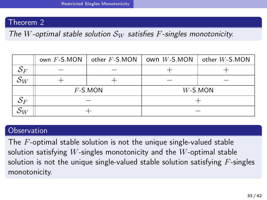### Theorem 2

*The W-optimal stable solution S<sup>W</sup> satisfies F-singles monotonicity.*

|                           | other $F$ -S.MON<br>own $F$ -S.MON |            | own $W$ -S.MON<br>other $W$ -S.MON |            |
|---------------------------|------------------------------------|------------|------------------------------------|------------|
| $\mathcal{S}_F$           |                                    |            |                                    |            |
| $\sim$<br>$\mathcal{O}_W$ |                                    |            |                                    |            |
|                           |                                    | $F$ -S.MON |                                    | $W$ -S.MON |
| $\mathcal{O} F$           |                                    |            |                                    |            |
| ЛV                        |                                    |            |                                    |            |

#### Observation

The *F*-optimal stable solution is not the unique single-valued stable solution satisfying *W*-singles monotonicity and the *W*-optimal stable solution is not the unique single-valued stable solution satisfying *F*-singles monotonicity.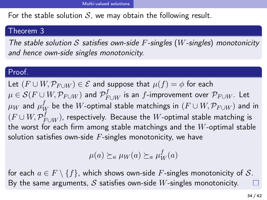#### Multi-valued solutions

For the stable solution  $S$ , we may obtain the following result.

#### Theorem 3

*The stable solution S satisfies own-side F-singles* (*W-singles*) *monotonicity and hence own-side singles monotonicity.*

#### Proof.

Let  $(F ∪ W, P_{F ∪ W}) ∈ E$  and suppose that  $\mu(f) = \phi$  for each  $\mu \in \mathcal{S}(F \cup W, \mathcal{P}_{F \cup W})$  and  $\mathcal{P}_{F \cup W}^{f}$  is an  $f$ -improvement over  $\mathcal{P}_{F \cup W}$ . Let  $\mu_W$  and  $\mu_W^f$  be the  $W$ -optimal stable matchings in  $(F\cup W, \mathcal{P}_{F\cup W})$  and in  $(F\cup W, \mathcal{P}_{F\cup W}^{f})$ , respectively. Because the  $W$ -optimal stable matching is the worst for each firm among stable matchings and the *W*-optimal stable solution satisfies own-side *F*-singles monotonicity, we have

$$
\mu(a) \succeq_a \mu_W(a) \succeq_a \mu_W^f(a)
$$

for each  $a \in F \setminus \{f\}$ , which shows own-side *F*-singles monotonicity of *S*. By the same arguments, *S* satisfies own-side *W*-singles monotonicity.  $\Box$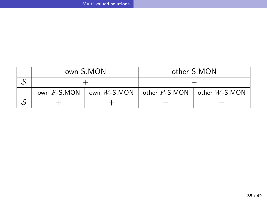Multi-valued solutions

|                | own S.MON | other S.MON                                          |  |  |
|----------------|-----------|------------------------------------------------------|--|--|
|                |           |                                                      |  |  |
| own $F$ -S.MON |           | own $W$ -S.MON   other $F$ -S.MON   other $W$ -S.MON |  |  |
|                |           |                                                      |  |  |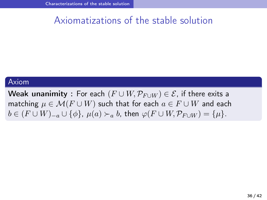# Axiomatizations of the stable solution

### Axiom

Weak unanimity : For each  $(F \cup W, \mathcal{P}_{F \cup W}) \in \mathcal{E}$ , if there exits a matching  $\mu \in \mathcal{M}(F \cup W)$  such that for each  $a \in F \cup W$  and each  $b \in (F \cup W)_{-a} \cup \{\phi\}, \ \mu(a) \succ_a b$ , then  $\varphi(F \cup W, \mathcal{P}_{F \cup W}) = \{\mu\}.$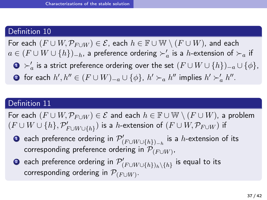### Definition 10

For each  $(F \cup W, \mathcal{P}_{F \cup W}) \in \mathcal{E}$ , each  $h \in \mathbb{F} \cup \mathbb{W} \setminus (F \cup W)$ , and each *a* ∈  $(F \cup W \cup \{h\})_{-h}$ , a preference ordering  $\succ'_a$  is a *h*-extension of  $\succ_a$  if

- <sup>1</sup> *≻′ a* is a strict preference ordering over the set (*F ∪ W ∪ {h}*)*−<sup>a</sup> ∪ {ϕ}*,
- **3** for each  $h', h'' \in (F \cup W)_{-a} \cup \{\phi\}$ ,  $h' \succ_a h''$  implies  $h' \succ'_a h''$ .

#### Definition 11

For each  $(F \cup W, \mathcal{P}_{F \cup W}) \in \mathcal{E}$  and each  $h \in \mathbb{F} \cup \mathbb{W} \setminus (F \cup W)$ , a problem  $(F\cup W\cup \{h\}, \mathcal{P}'_{F\cup W\cup \{h\}})$  is a  $h$ -extension of  $(F\cup W, \mathcal{P}_{F\cup W})$  if

- **1** each preference ordering in  $\mathcal{P}'_{(F \cup W \cup \{h\})-h}$  is a *h*-extension of its  $\,$  corresponding preference ordering in  $\mathcal{P}_{(F \cup W)}$  ,
- $\bullet$  each preference ordering in  $\mathcal{P}'_{(F \cup W \cup \{h\})_h \setminus \{h\}}$  is equal to its  $\mathsf{corresponding}$  ordering in  $\mathcal{P}_{(F \cup W)}$ .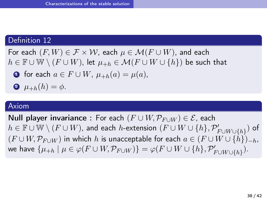### Definition 12

For each  $(F, W) \in \mathcal{F} \times \mathcal{W}$ , each  $\mu \in \mathcal{M}(F \cup W)$ , and each *h* ∈  $\mathbb{F}$  ∪  $\mathbb{W} \setminus (F \cup W)$ , let  $\mu_{+h} \in \mathcal{M}(F \cup W \cup \{h\})$  be such that

• for each 
$$
a \in F \cup W
$$
,  $\mu_{+h}(a) = \mu(a)$ ,

Characterizations of the stable solution

$$
\bullet \ \mu_{+h}(h) = \phi.
$$

### Axiom

Null player invariance : For each  $(F ∪ W, P_{F∪W}) ∈ E$ , each  $h\in\mathbb F\cup\mathbb W\setminus (F\cup W)$ , and each  $h$ -extension  $(F\cup W\cup \{h\}, \mathcal{P}'_{F\cup W\cup \{h\}})$  of  $(F ∪ W, P_{F ∪ W})$  in which *h* is unacceptable for each  $a ∈ (F ∪ W ∪ \{h\})_{h}$ , we have  $\{\mu_{+h} \mid \mu \in \varphi(F \cup W, \mathcal{P}_{F \cup W})\} = \varphi(F \cup W \cup \{h\}, \mathcal{P}'_{F \cup W \cup \{h\}}).$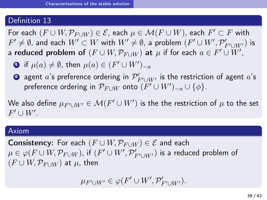#### Definition 13

 $\mathsf{For~each~}(F \cup W, \mathcal{P}_{F \cup W}) \in \mathcal{E}$ , each  $\mu \in \mathcal{M}(F \cup W)$ , each  $F' \subset F$  with  $F'\neq \emptyset$ , and each  $W'\subset W$  with  $W'\neq \emptyset$ , a problem  $(F'\cup W', \mathcal{P}'_{F'\cup W'})$  is a reduced problem of  $(F\cup W, \mathcal{P}_{F\cup W})$  at  $\mu$  if for each  $a\in F'\cup W'$ ,

- $\bullet$  if  $\mu(a) \neq \emptyset$ , then  $\mu(a) \in (F' \cup W')_{-a}$
- $\bullet$  agent  $a$ 's preference ordering in  $\mathcal{P}'_{F'\cup W'}$  is the restriction of agent  $a$ 's  $\mathcal{P}_{F \cup W}$  onto  $(F' \cup W')_{-a} \cup \{\phi\}.$

We also define  $\mu_{F' \cup W'} \in \mathcal{M}(F' \cup W')$  is the the restriction of  $\mu$  to the set  $F' \cup W'$ .

#### Axiom

Consistency: For each  $(F \cup W, \mathcal{P}_{F \cup W}) \in \mathcal{E}$  and each  $\mu\in\varphi(F\cup W,\mathcal{P}_{F\cup W})$ , if  $(F'\cup W',\mathcal{P}'_{F'\cup W'})$  is a reduced problem of  $(F ∪ W, P<sub>F ∪ W</sub>)$  at  $\mu$ , then

$$
\mu_{F' \cup W'} \in \varphi(F' \cup W', \mathcal{P}'_{F' \cup W'})
$$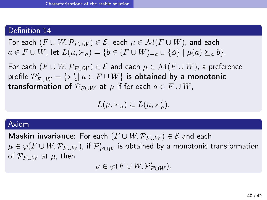### Definition 14

For each  $(F \cup W, \mathcal{P}_{F \cup W}) \in \mathcal{E}$ , each  $\mu \in \mathcal{M}(F \cup W)$ , and each  $a \in F \cup W$ , let  $L(\mu, \succ_a) = \{b \in (F \cup W)_{-a} \cup \{\phi\} \mid \mu(a) \succeq_a b\}.$ 

For each  $(F \cup W, \mathcal{P}_{F \cup W}) \in \mathcal{E}$  and each  $\mu \in \mathcal{M}(F \cup W)$ , a preference  $\mathcal{P}'_{F \cup W} = \{ \succ_a' | \ a \in F \cup W \}$  is obtained by a monotonic transformation of  $\mathcal{P}_{F \cup W}$  at  $\mu$  if for each  $a \in F \cup W$ ,

 $L(\mu, \succ_a) \subseteq L(\mu, \succ'_a)$ .

#### Axiom

*Maskin invariance:* For each  $(F ∪ W, P_{F ∪ W}) ∈ E$  and each  $\mu \in \varphi(F \cup W, \mathcal{P}_{F \cup W})$ , if  $\mathcal{P}'_{F \cup W}$  is obtained by a monotonic transformation of  $\mathcal{P}_{F\cup W}$  at  $\mu$ , then

 $\mu \in \varphi(F \cup W, \mathcal{P}'_{F \cup W}).$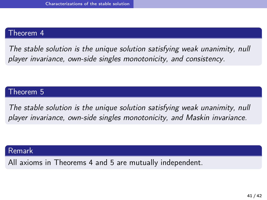## Theorem 4

*The stable solution is the unique solution satisfying weak unanimity, null player invariance, own-side singles monotonicity, and consistency.*

## Theorem 5

*The stable solution is the unique solution satisfying weak unanimity, null player invariance, own-side singles monotonicity, and Maskin invariance.*

### Remark

All axioms in Theorems 4 and 5 are mutually independent.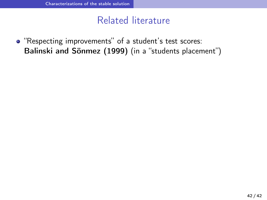## Related literature

"Respecting improvements" of a student's test scores: Balinski and Sönmez (1999) (in a "students placement")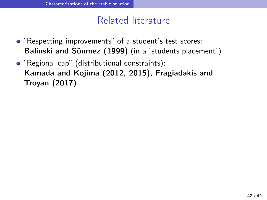## Related literature

- "Respecting improvements" of a student's test scores: Balinski and Sönmez (1999) (in a "students placement")
- "Regional cap" (distributional constraints): Kamada and Kojima (2012, 2015), Fragiadakis and Troyan (2017)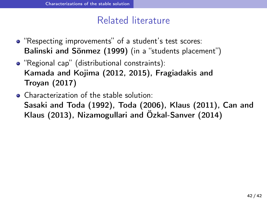## Related literature

- "Respecting improvements" of a student's test scores: Balinski and Sönmez (1999) (in a "students placement")
- "Regional cap" (distributional constraints): Kamada and Kojima (2012, 2015), Fragiadakis and Troyan (2017)
- Characterization of the stable solution: Sasaki and Toda (1992), Toda (2006), Klaus (2011), Can and Klaus (2013), Nizamogullari and Özkal-Sanver (2014)